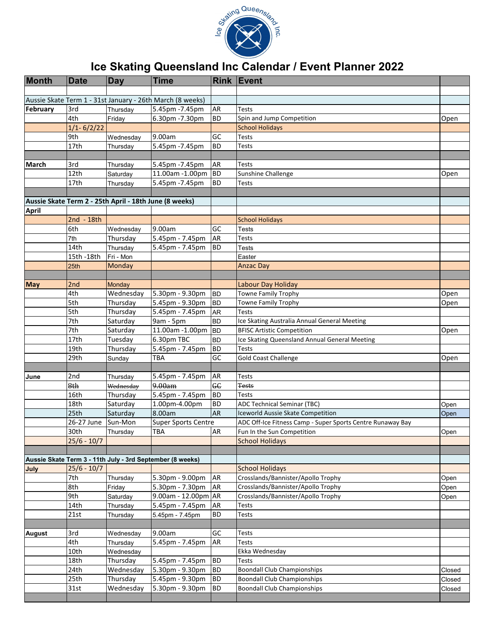

## **Ice Skating Queensland Inc Calendar / Event Planner 2022**

| <b>Month</b>  | <b>Date</b>         | Day                   | <b>Time</b>                                               |           | <b>Rink Event</b>                                          |        |
|---------------|---------------------|-----------------------|-----------------------------------------------------------|-----------|------------------------------------------------------------|--------|
|               |                     |                       |                                                           |           |                                                            |        |
|               |                     |                       | Aussie Skate Term 1 - 31st January - 26th March (8 weeks) |           |                                                            |        |
| February      | 3rd                 | Thursday              | 5.45pm -7.45pm                                            | <b>AR</b> | Tests                                                      |        |
|               | 4th                 | Friday                | 6.30pm - 7.30pm                                           | <b>BD</b> | Spin and Jump Competition                                  | Open   |
|               | $1/1 - 6/2/22$      |                       |                                                           |           | <b>School Holidays</b>                                     |        |
|               | 9th                 | Wednesday             | 9.00am                                                    | GC        | <b>Tests</b>                                               |        |
|               | 17th                | Thursday              | 5.45pm -7.45pm                                            | <b>BD</b> | Tests                                                      |        |
|               |                     |                       |                                                           |           |                                                            |        |
| <b>March</b>  | 3rd                 | Thursday              | 5.45pm -7.45pm                                            | <b>AR</b> | Tests                                                      |        |
|               | 12th                | Saturdav              | 11.00am -1.00pm                                           | <b>BD</b> | Sunshine Challenge                                         | Open   |
|               | 17th                | Thursday              | 5.45pm -7.45pm                                            | <b>BD</b> | <b>Tests</b>                                               |        |
|               |                     |                       |                                                           |           |                                                            |        |
|               |                     |                       | Aussie Skate Term 2 - 25th April - 18th June (8 weeks)    |           |                                                            |        |
| <b>April</b>  |                     |                       |                                                           |           |                                                            |        |
|               | $2nd - 18th$<br>6th |                       | 9.00am                                                    | <b>GC</b> | <b>School Holidays</b>                                     |        |
|               | 7th                 | Wednesday<br>Thursday | 5.45pm - 7.45pm                                           | <b>AR</b> | Tests<br>Tests                                             |        |
|               | 14th                | Thursday              | 5.45pm - 7.45pm                                           | <b>BD</b> | Tests                                                      |        |
|               | 15th -18th          | Fri - Mon             |                                                           |           | Easter                                                     |        |
|               | 25th                | Monday                |                                                           |           | <b>Anzac Day</b>                                           |        |
|               |                     |                       |                                                           |           |                                                            |        |
| <b>May</b>    | 2nd                 | <b>Monday</b>         |                                                           |           | Labour Day Holiday                                         |        |
|               | 4th                 | Wednesday             | 5.30pm - 9.30pm                                           | <b>BD</b> | Towne Family Trophy                                        | Open   |
|               | 5th                 | Thursday              | 5.45pm - 9.30pm                                           | <b>BD</b> | Towne Family Trophy                                        | Open   |
|               | 5th                 | Thursday              | 5.45pm - 7.45pm                                           | <b>AR</b> | Tests                                                      |        |
|               | 7th                 | Saturday              | 9am - 5pm                                                 | <b>BD</b> | Ice Skating Australia Annual General Meeting               |        |
|               | 7th                 | Saturday              | 11.00am -1.00pm                                           | <b>BD</b> | <b>BFISC Artistic Competition</b>                          | Open   |
|               | 17th                | Tuesday               | 6.30pm TBC                                                | <b>BD</b> | Ice Skating Queensland Annual General Meeting              |        |
|               | 19th                | Thursday              | 5.45pm - 7.45pm                                           | <b>BD</b> | <b>Tests</b>                                               |        |
|               | 29th                | Sunday                | <b>TBA</b>                                                | GC        | <b>Gold Coast Challenge</b>                                | Open   |
|               |                     |                       |                                                           |           |                                                            |        |
| June          | 2nd                 | Thursday              | 5.45pm - 7.45pm                                           | <b>AR</b> | <b>Tests</b>                                               |        |
|               | 8th                 | Wednesday             | 9.00am                                                    | GC        | <b>Tests</b>                                               |        |
|               | 16th                | Thursday              | 5.45pm - 7.45pm                                           | <b>BD</b> | <b>Tests</b>                                               |        |
|               | 18th                | Saturday              | 1.00pm-4.00pm                                             | <b>BD</b> | <b>ADC Technical Seminar (TBC)</b>                         | Open   |
|               | 25th                | Saturday              | 8.00am                                                    | <b>AR</b> | Iceworld Aussie Skate Competition                          | Open   |
|               | 26-27 June          | Sun-Mon               | <b>Super Sports Centre</b>                                |           | ADC Off-Ice Fitness Camp - Super Sports Centre Runaway Bay |        |
|               | 30th                | Thursday              | <b>TBA</b>                                                | <b>AR</b> | Fun In the Sun Competition                                 | Open   |
|               | $25/6 - 10/7$       |                       |                                                           |           | <b>School Holidays</b>                                     |        |
|               |                     |                       |                                                           |           |                                                            |        |
|               |                     |                       | Aussie Skate Term 3 - 11th July - 3rd September (8 weeks) |           |                                                            |        |
| July          | $25/6 - 10/7$       |                       |                                                           |           | <b>School Holidays</b>                                     |        |
|               | 7th                 | Thursday              | 5.30pm - 9.00pm                                           | AR        | Crosslands/Bannister/Apollo Trophy                         | Open   |
|               | 8th                 | Friday                | 5.30pm - 7.30pm                                           | AR        | Crosslands/Bannister/Apollo Trophy                         | Open   |
|               | 9th                 | Saturday              | 9.00am - 12.00pm AR                                       |           | Crosslands/Bannister/Apollo Trophy                         | Open   |
|               | 14th                | Thursday              | 5.45pm - 7.45pm                                           | AR        | Tests                                                      |        |
|               | 21st                | Thursday              | 5.45pm - 7.45pm                                           | <b>BD</b> | Tests                                                      |        |
|               |                     |                       |                                                           |           |                                                            |        |
| <b>August</b> | 3rd                 | Wednesday             | 9.00am                                                    | GC        | Tests                                                      |        |
|               | 4th                 | Thursday              | 5.45pm - 7.45pm                                           | AR        | Tests                                                      |        |
|               | 10th                | Wednesday             |                                                           |           | Ekka Wednesday                                             |        |
|               | 18th                | Thursday              | 5.45pm - 7.45pm                                           | <b>BD</b> | Tests                                                      |        |
|               | 24th                | Wednesday             | 5.30pm - 9.30pm                                           | <b>BD</b> | <b>Boondall Club Championships</b>                         | Closed |
|               | 25th                | Thursday              | 5.45pm - 9.30pm                                           | BD        | <b>Boondall Club Championships</b>                         | Closed |
|               | 31st                | Wednesday             | 5.30pm - 9.30pm                                           | <b>BD</b> | <b>Boondall Club Championships</b>                         | Closed |
|               |                     |                       |                                                           |           |                                                            |        |